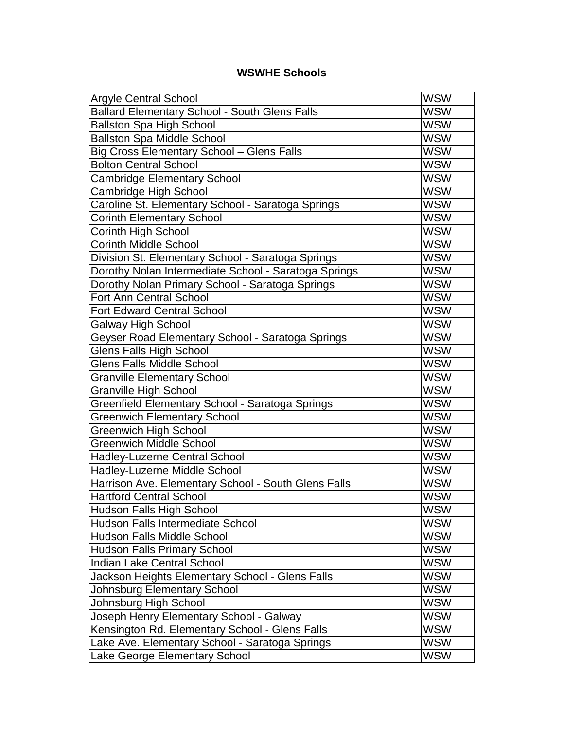## **WSWHE Schools**

| <b>Argyle Central School</b>                         | <b>WSW</b> |
|------------------------------------------------------|------------|
| <b>Ballard Elementary School - South Glens Falls</b> | WSW        |
| <b>Ballston Spa High School</b>                      | <b>WSW</b> |
| <b>Ballston Spa Middle School</b>                    | <b>WSW</b> |
| Big Cross Elementary School - Glens Falls            | <b>WSW</b> |
| <b>Bolton Central School</b>                         | <b>WSW</b> |
| <b>Cambridge Elementary School</b>                   | WSW        |
| Cambridge High School                                | <b>WSW</b> |
| Caroline St. Elementary School - Saratoga Springs    | <b>WSW</b> |
| <b>Corinth Elementary School</b>                     | <b>WSW</b> |
| Corinth High School                                  | <b>WSW</b> |
| <b>Corinth Middle School</b>                         | WSW        |
| Division St. Elementary School - Saratoga Springs    | <b>WSW</b> |
| Dorothy Nolan Intermediate School - Saratoga Springs | <b>WSW</b> |
| Dorothy Nolan Primary School - Saratoga Springs      | <b>WSW</b> |
| <b>Fort Ann Central School</b>                       | <b>WSW</b> |
| <b>Fort Edward Central School</b>                    | WSW        |
| Galway High School                                   | <b>WSW</b> |
| Geyser Road Elementary School - Saratoga Springs     | <b>WSW</b> |
| <b>Glens Falls High School</b>                       | <b>WSW</b> |
| Glens Falls Middle School                            | <b>WSW</b> |
| <b>Granville Elementary School</b>                   | WSW        |
| <b>Granville High School</b>                         | <b>WSW</b> |
| Greenfield Elementary School - Saratoga Springs      | <b>WSW</b> |
| <b>Greenwich Elementary School</b>                   | <b>WSW</b> |
| Greenwich High School                                | <b>WSW</b> |
| <b>Greenwich Middle School</b>                       | WSW        |
| Hadley-Luzerne Central School                        | <b>WSW</b> |
| Hadley-Luzerne Middle School                         | <b>WSW</b> |
| Harrison Ave. Elementary School - South Glens Falls  | <b>WSW</b> |
| <b>Hartford Central School</b>                       | <b>WSW</b> |
| <b>Hudson Falls High School</b>                      | WSW        |
| <b>Hudson Falls Intermediate School</b>              | <b>WSW</b> |
| <b>Hudson Falls Middle School</b>                    | <b>WSW</b> |
| <b>Hudson Falls Primary School</b>                   | <b>WSW</b> |
| <b>Indian Lake Central School</b>                    | <b>WSW</b> |
| Jackson Heights Elementary School - Glens Falls      | WSW        |
| Johnsburg Elementary School                          | <b>WSW</b> |
| Johnsburg High School                                | <b>WSW</b> |
| Joseph Henry Elementary School - Galway              | <b>WSW</b> |
| Kensington Rd. Elementary School - Glens Falls       | <b>WSW</b> |
| Lake Ave. Elementary School - Saratoga Springs       | WSW        |
| Lake George Elementary School                        | <b>WSW</b> |